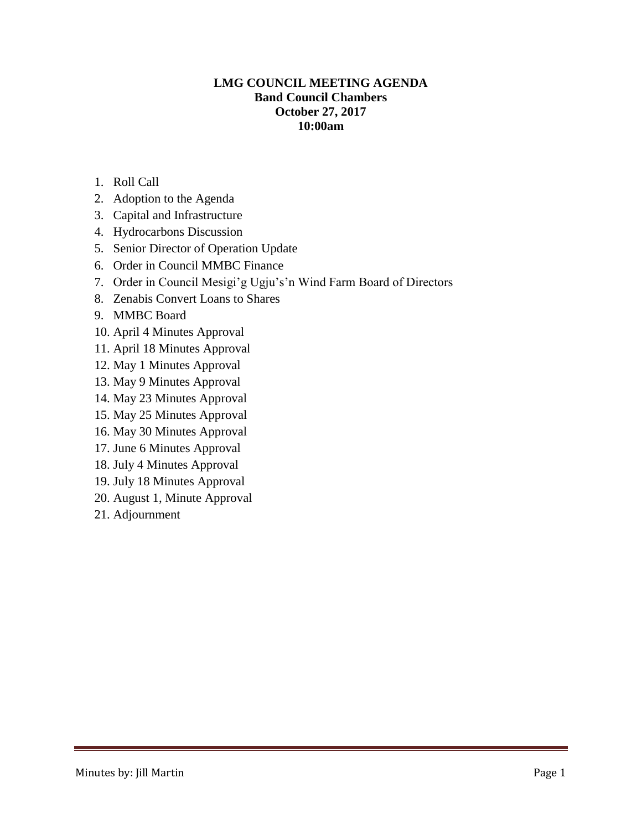# **LMG COUNCIL MEETING AGENDA Band Council Chambers October 27, 2017 10:00am**

- 1. Roll Call
- 2. Adoption to the Agenda
- 3. Capital and Infrastructure
- 4. Hydrocarbons Discussion
- 5. Senior Director of Operation Update
- 6. Order in Council MMBC Finance
- 7. Order in Council Mesigi'g Ugju's'n Wind Farm Board of Directors
- 8. Zenabis Convert Loans to Shares
- 9. MMBC Board
- 10. April 4 Minutes Approval
- 11. April 18 Minutes Approval
- 12. May 1 Minutes Approval
- 13. May 9 Minutes Approval
- 14. May 23 Minutes Approval
- 15. May 25 Minutes Approval
- 16. May 30 Minutes Approval
- 17. June 6 Minutes Approval
- 18. July 4 Minutes Approval
- 19. July 18 Minutes Approval
- 20. August 1, Minute Approval
- 21. Adjournment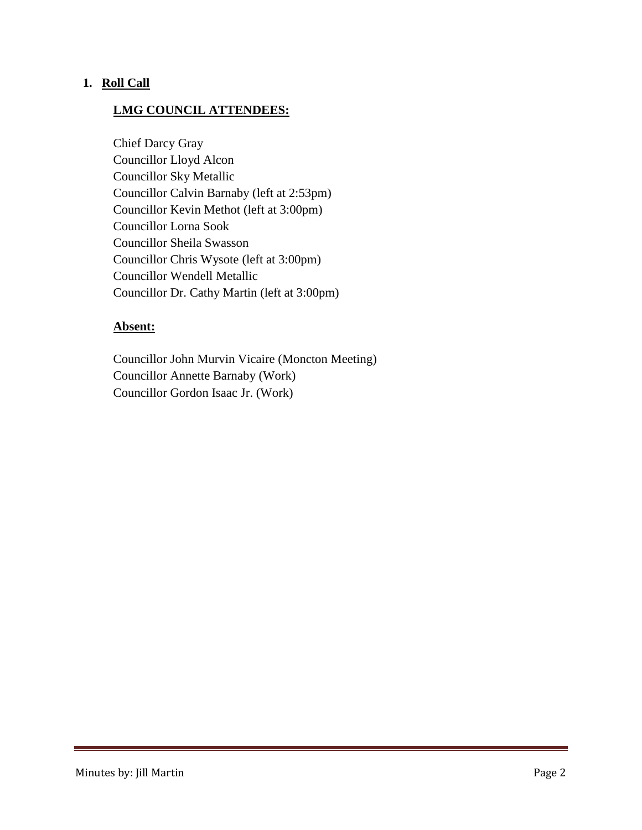# **1. Roll Call**

## **LMG COUNCIL ATTENDEES:**

Chief Darcy Gray Councillor Lloyd Alcon Councillor Sky Metallic Councillor Calvin Barnaby (left at 2:53pm) Councillor Kevin Methot (left at 3:00pm) Councillor Lorna Sook Councillor Sheila Swasson Councillor Chris Wysote (left at 3:00pm) Councillor Wendell Metallic Councillor Dr. Cathy Martin (left at 3:00pm)

#### **Absent:**

Councillor John Murvin Vicaire (Moncton Meeting) Councillor Annette Barnaby (Work) Councillor Gordon Isaac Jr. (Work)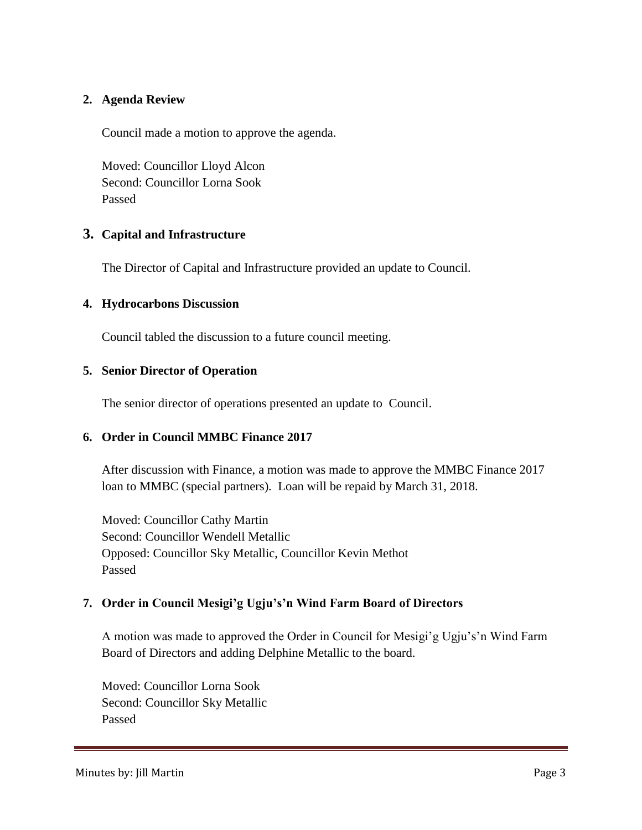# **2. Agenda Review**

Council made a motion to approve the agenda.

Moved: Councillor Lloyd Alcon Second: Councillor Lorna Sook Passed

# **3. Capital and Infrastructure**

The Director of Capital and Infrastructure provided an update to Council.

## **4. Hydrocarbons Discussion**

Council tabled the discussion to a future council meeting.

## **5. Senior Director of Operation**

The senior director of operations presented an update to Council.

#### **6. Order in Council MMBC Finance 2017**

After discussion with Finance, a motion was made to approve the MMBC Finance 2017 loan to MMBC (special partners). Loan will be repaid by March 31, 2018.

Moved: Councillor Cathy Martin Second: Councillor Wendell Metallic Opposed: Councillor Sky Metallic, Councillor Kevin Methot Passed

# **7. Order in Council Mesigi'g Ugju's'n Wind Farm Board of Directors**

A motion was made to approved the Order in Council for Mesigi'g Ugju's'n Wind Farm Board of Directors and adding Delphine Metallic to the board.

Moved: Councillor Lorna Sook Second: Councillor Sky Metallic Passed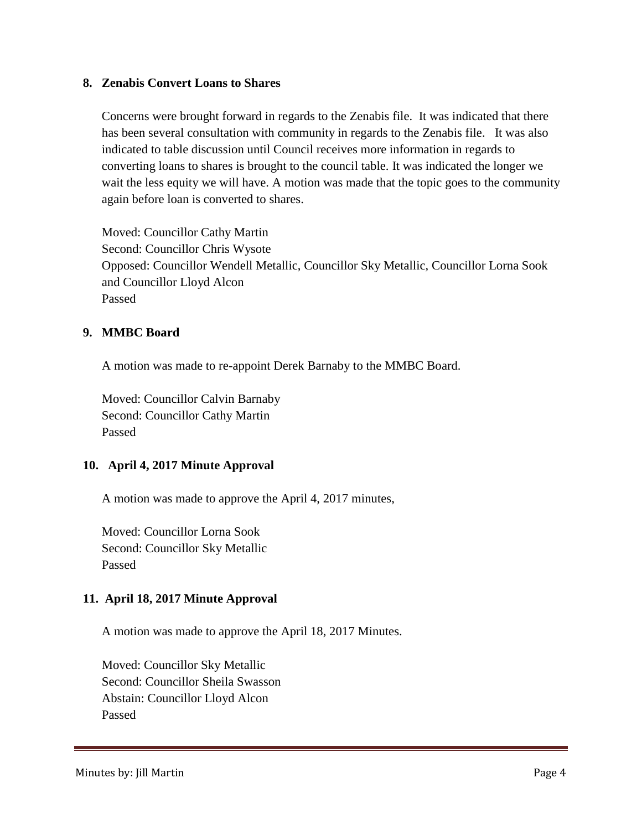#### **8. Zenabis Convert Loans to Shares**

Concerns were brought forward in regards to the Zenabis file. It was indicated that there has been several consultation with community in regards to the Zenabis file. It was also indicated to table discussion until Council receives more information in regards to converting loans to shares is brought to the council table. It was indicated the longer we wait the less equity we will have. A motion was made that the topic goes to the community again before loan is converted to shares.

Moved: Councillor Cathy Martin Second: Councillor Chris Wysote Opposed: Councillor Wendell Metallic, Councillor Sky Metallic, Councillor Lorna Sook and Councillor Lloyd Alcon Passed

#### **9. MMBC Board**

A motion was made to re-appoint Derek Barnaby to the MMBC Board.

Moved: Councillor Calvin Barnaby Second: Councillor Cathy Martin Passed

#### **10. April 4, 2017 Minute Approval**

A motion was made to approve the April 4, 2017 minutes,

Moved: Councillor Lorna Sook Second: Councillor Sky Metallic Passed

#### **11. April 18, 2017 Minute Approval**

A motion was made to approve the April 18, 2017 Minutes.

Moved: Councillor Sky Metallic Second: Councillor Sheila Swasson Abstain: Councillor Lloyd Alcon Passed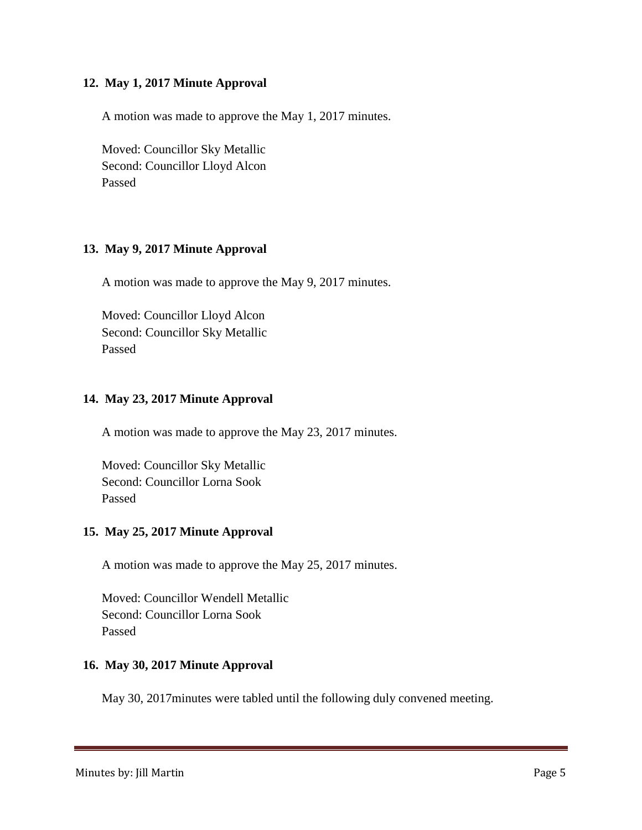### **12. May 1, 2017 Minute Approval**

A motion was made to approve the May 1, 2017 minutes.

Moved: Councillor Sky Metallic Second: Councillor Lloyd Alcon Passed

## **13. May 9, 2017 Minute Approval**

A motion was made to approve the May 9, 2017 minutes.

Moved: Councillor Lloyd Alcon Second: Councillor Sky Metallic Passed

## **14. May 23, 2017 Minute Approval**

A motion was made to approve the May 23, 2017 minutes.

Moved: Councillor Sky Metallic Second: Councillor Lorna Sook Passed

#### **15. May 25, 2017 Minute Approval**

A motion was made to approve the May 25, 2017 minutes.

Moved: Councillor Wendell Metallic Second: Councillor Lorna Sook Passed

#### **16. May 30, 2017 Minute Approval**

May 30, 2017minutes were tabled until the following duly convened meeting.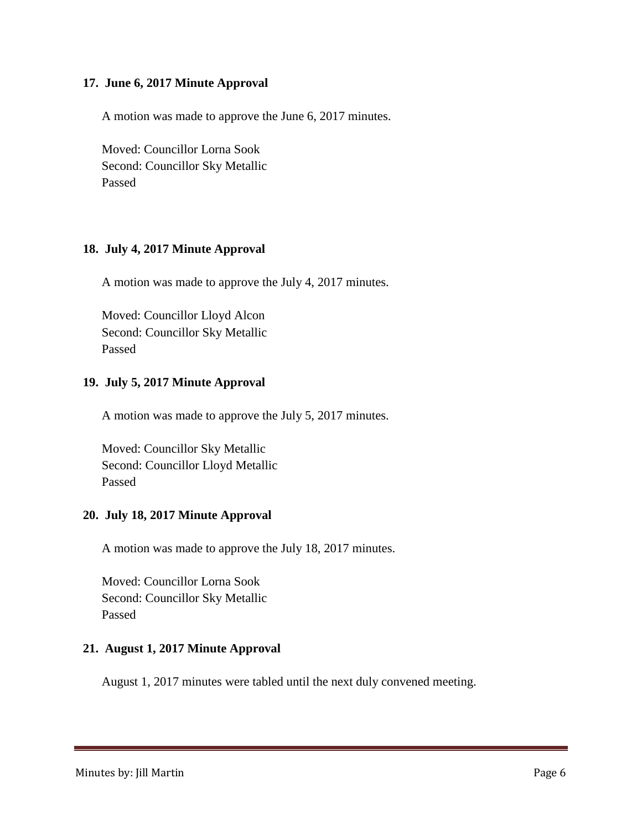### **17. June 6, 2017 Minute Approval**

A motion was made to approve the June 6, 2017 minutes.

Moved: Councillor Lorna Sook Second: Councillor Sky Metallic Passed

#### **18. July 4, 2017 Minute Approval**

A motion was made to approve the July 4, 2017 minutes.

Moved: Councillor Lloyd Alcon Second: Councillor Sky Metallic Passed

## **19. July 5, 2017 Minute Approval**

A motion was made to approve the July 5, 2017 minutes.

Moved: Councillor Sky Metallic Second: Councillor Lloyd Metallic Passed

#### **20. July 18, 2017 Minute Approval**

A motion was made to approve the July 18, 2017 minutes.

Moved: Councillor Lorna Sook Second: Councillor Sky Metallic Passed

# **21. August 1, 2017 Minute Approval**

August 1, 2017 minutes were tabled until the next duly convened meeting.